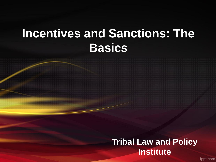### **Incentives and Sanctions: The Basics**

#### **Tribal Law and Policy Institute**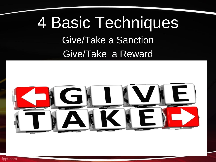## 4 Basic Techniques Give/Take a Sanction Give/Take a Reward

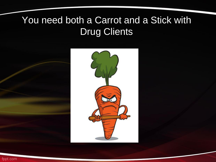#### You need both a Carrot and a Stick with Drug Clients



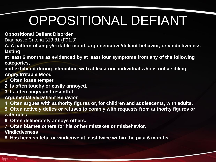# OPPOSITIONAL DEFIANT

**Oppositional Defiant Disorder**

Diagnostic Criteria 313.81 (F91.3)

**A. A pattern of angry/irritable mood, argumentative/defiant behavior, or vindictiveness lasting**

**at least 6 months as evidenced by at least four symptoms from any of the following categories,**

**and exhibited during interaction with at least one individual who is not a sibling. Angry/Irritable Mood**

**1. Often loses temper.**

**2. Is often touchy or easily annoyed.**

**3. Is often angry and resentful.**

**Argumentative/Defiant Behavior**

**4. Often argues with authority figures or, for children and adolescents, with adults.**

**5. Often actively defies or refuses to comply with requests from authority figures or with rules.**

**6. Often deliberately annoys others.**

**7. Often blames others for his or her mistakes or misbehavior.**

**Vindictiveness**

**8. Has been spiteful or vindictive at least twice within the past 6 months.**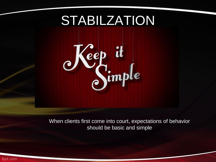### STABILZATION



When clients first come into court, expectations of behavior should be basic and simple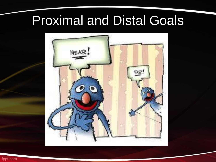# Proximal and Distal Goals

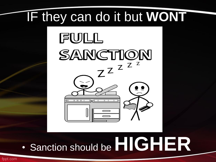# IF they can do it but **WONT**



# • Sanction should be **HIGHER**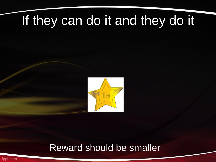### If they can do it and they do it



#### Reward should be smaller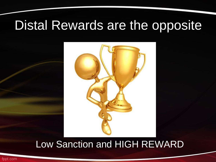### Distal Rewards are the opposite



#### Low Sanction and HIGH REWARD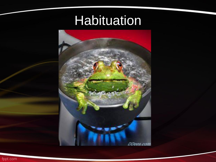### **Habituation**

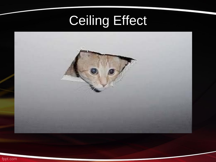# Ceiling Effect

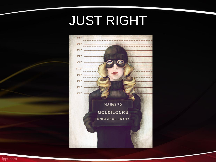## JUST RIGHT

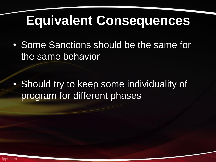### **Equivalent Consequences**

• Some Sanctions should be the same for the same behavior

• Should try to keep some individuality of program for different phases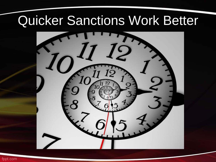### Quicker Sanctions Work Better

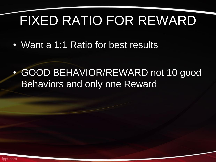# FIXED RATIO FOR REWARD

• Want a 1:1 Ratio for best results

• GOOD BEHAVIOR/REWARD not 10 good Behaviors and only one Reward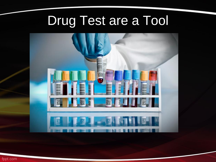# Drug Test are a Tool

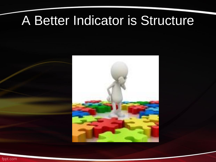### A Better Indicator is Structure

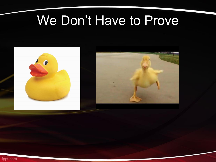### We Don't Have to Prove